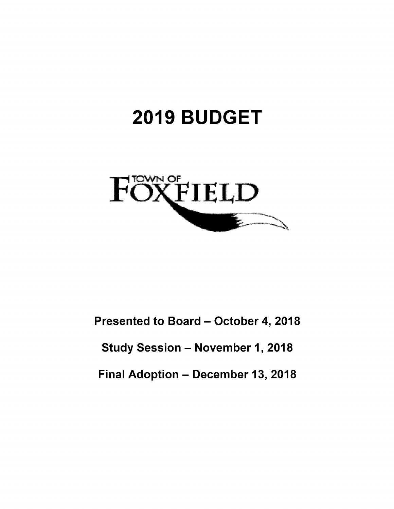# 2019 BUDGET



Presented to Board - October 4, 2018

Study Session - November 1, 2018

Final Adoption - December 13, 2018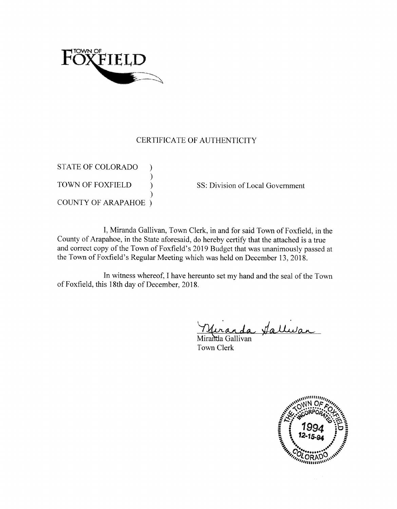

## CERTIFICATE OF AUTHENTICITY

**STATE OF COLORADO TOWN OF FOXFIELD COUNTY OF ARAPAHOE** )

SS: Division of Local Government

I, Miranda Gallivan, Town Clerk, in and for said Town of Foxfield, in the County of Arapahoe, in the State aforesaid, do hereby certify that the attached is a true and correct copy of the Town of Foxfield's 2019 Budget that was unanimously passed at the Town of Foxfield's Regular Meeting which was held on December 13, 2018.

In witness whereof, I have hereunto set my hand and the seal of the Town of Foxfield, this 18th day of December, 2018.

La falluran

Miranda Gallivan Town Clerk

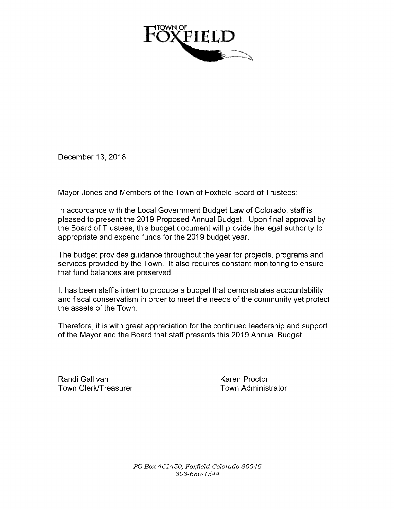

December 13, 2018

Mayor Jones and Members of the Town of Foxfield Board of Trustees:

In accordance with the Local Government Budget Law of Colorado, staff is pleased to present the 2019 Proposed Annual Budget. Upon final approval by the Board of Trustees, this budget document will provide the legal authority to appropriate and expend funds for the 2019 budget year.

The budget provides guidance throughout the year for projects, programs and services provided by the Town. It also requires constant monitoring to ensure that fund balances are preserved.

It has been staff's intent to produce a budget that demonstrates accountability and fiscal conservatism in order to meet the needs of the community yet protect the assets of the Town.

Therefore, it is with great appreciation for the continued leadership and support of the Mayor and the Board that staff presents this 2019 Annual Budget.

Randi Gallivan<br>Town Clerk/Treasurer Town Administrator Town Clerk/Treasurer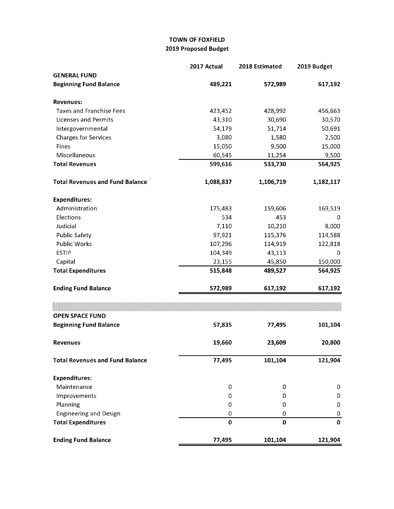### TOWN OF FOXFIELD 2019 Proposed Budget

|                                        | 2017 Actual | 2018 Estimated | 2019 Budget |
|----------------------------------------|-------------|----------------|-------------|
| <b>GENERAL FUND</b>                    |             |                |             |
| <b>Beginning Fund Balance</b>          | 489,221     | 572,989        | 617,192     |
| <b>Revenues:</b>                       |             |                |             |
| <b>Taxes and Franchise Fees</b>        | 423,452     | 428,992        | 456,663     |
| <b>Licenses and Permits</b>            | 43,310      | 30,690         | 30,570      |
| Intergovernmental                      | 54,179      | 51,714         | 50,691      |
| <b>Charges for Services</b>            | 3,080       | 1,580          | 2,500       |
| Fines                                  | 15,050      | 9,500          | 15,000      |
| Miscellaneous                          | 60,545      | 11,254         | 9,500       |
| <b>Total Revenues</b>                  | 599,616     | 533,730        | 564,925     |
| <b>Total Revenues and Fund Balance</b> | 1,088,837   | 1,106,719      | 1,182,117   |
| <b>Expenditures:</b>                   |             |                |             |
| Administration                         | 175,483     | 159,606        | 169,519     |
| Elections                              | 534         | 453            | 0           |
| Judicial                               | 7,110       | 10,210         | 8,000       |
| <b>Public Safety</b>                   | 97,921      | 115,376        | 114,588     |
| <b>Public Works</b>                    | 107,296     | 114,919        | 122,818     |
| <b>ESTIP</b>                           | 104,349     | 43,113         | 0           |
| Capital                                | 23,155      | 45,850         | 150,000     |
| <b>Total Expenditures</b>              | 515,848     | 489,527        | 564,925     |
| <b>Ending Fund Balance</b>             | 572,989     | 617,192        | 617,192     |
|                                        |             |                |             |
| <b>OPEN SPACE FUND</b>                 |             |                |             |
| <b>Beginning Fund Balance</b>          | 57,835      | 77,495         | 101,104     |
| <b>Revenues</b>                        | 19,660      | 23,609         | 20,800      |
| <b>Total Revenues and Fund Balance</b> | 77,495      | 101,104        | 121,904     |
| <b>Expenditures:</b>                   |             |                |             |
| Maintenance                            | 0           | 0              | 0           |
| Improvements                           | 0           | 0              | 0           |
| Planning                               | 0           | 0              | 0           |
| <b>Engineering and Design</b>          | 0           | 0              | 0           |
| <b>Total Expenditures</b>              | $\mathbf 0$ | 0              | $\mathbf 0$ |
| <b>Ending Fund Balance</b>             | 77,495      | 101,104        | 121,904     |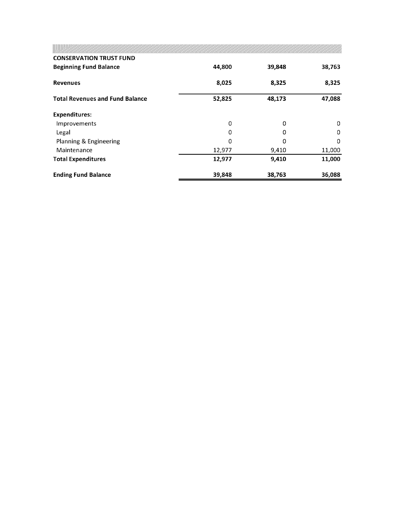|                                        | <u>un baran baran da baran baran gan da a da da baran da baran da baran da baran da baran da baran da baran da ba</u> |        |          |
|----------------------------------------|-----------------------------------------------------------------------------------------------------------------------|--------|----------|
| <b>CONSERVATION TRUST FUND</b>         |                                                                                                                       |        |          |
| <b>Beginning Fund Balance</b>          | 44,800                                                                                                                | 39,848 | 38,763   |
| <b>Revenues</b>                        | 8,025                                                                                                                 | 8,325  | 8,325    |
| <b>Total Revenues and Fund Balance</b> | 52,825                                                                                                                | 48,173 | 47,088   |
| <b>Expenditures:</b>                   |                                                                                                                       |        |          |
| Improvements                           | 0                                                                                                                     | 0      | 0        |
| Legal                                  | 0                                                                                                                     |        | 0        |
| Planning & Engineering                 | Ω                                                                                                                     | n      | $\Omega$ |
| Maintenance                            | 12,977                                                                                                                | 9,410  | 11,000   |
| <b>Total Expenditures</b>              | 12,977                                                                                                                | 9,410  | 11,000   |
| <b>Ending Fund Balance</b>             | 39,848                                                                                                                | 38,763 | 36,088   |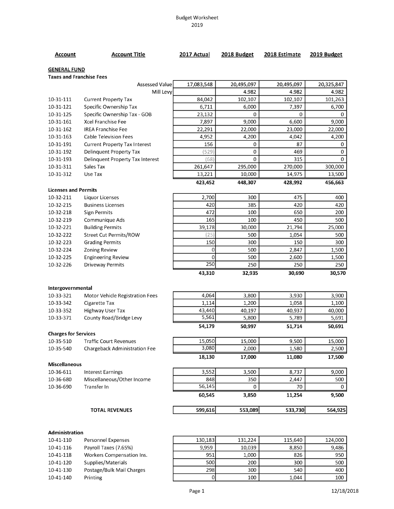#### Budget Worksheet 2019

| Account                                                | <b>Account Title</b>                  | 2017 Actual             | 2018 Budget | 2018 Estimate | 2019 Budget |
|--------------------------------------------------------|---------------------------------------|-------------------------|-------------|---------------|-------------|
| <b>GENERAL FUND</b><br><b>Taxes and Franchise Fees</b> |                                       |                         |             |               |             |
|                                                        | Assessed Value                        | 17,083,548              | 20,495,097  | 20,495,097    | 20,325,847  |
|                                                        | Mill Levy                             |                         | 4.982       | 4.982         | 4.982       |
| 10-31-111                                              | <b>Current Property Tax</b>           | 84,042                  | 102,107     | 102,107       | 101,263     |
| 10-31-121                                              | Specific Ownership Tax                | 6,711                   | 6,000       | 7,397         | 6,700       |
| 10-31-125                                              | Specific Ownership Tax - GOB          | 23,132                  | 0           | 0             | 0           |
| 10-31-161                                              | <b>Xcel Franchise Fee</b>             | 7,897                   | 9,000       | 6,600         | 9,000       |
| 10-31-162                                              | <b>IREA Franchise Fee</b>             | 22,291                  | 22,000      | 23,000        | 22,000      |
| 10-31-163                                              | <b>Cable Television Fees</b>          | 4,952                   | 4,200       | 4,042         | 4,200       |
| 10-31-191                                              | <b>Current Property Tax Interest</b>  | 156                     | 0           | 87            | 0           |
| 10-31-192                                              | Delinquent Property Tax               | (529                    | 0           | 469           | $\mathbf 0$ |
| 10-31-193                                              | Delinquent Property Tax Interest      | (68)                    | 0           | 315           | $\mathbf 0$ |
| 10-31-311                                              | Sales Tax                             | 261,647                 | 295,000     | 270,000       | 300,000     |
| 10-31-312                                              | Use Tax                               | 13,221                  | 10,000      | 14,975        | 13,500      |
| <b>Licenses and Permits</b>                            |                                       | 423,452                 | 448,307     | 428,992       | 456,663     |
| 10-32-211                                              | <b>Liquor Licenses</b>                | 2,700                   | 300         | 475           | 400         |
| 10-32-215                                              | <b>Business Licenses</b>              | 420                     | 385         | 420           | 420         |
| 10-32-218                                              | <b>Sign Permits</b>                   | 472                     | 100         | 650           | 200         |
| 10-32-219                                              | Communique Ads                        | 165                     | 100         | 450           | 500         |
| 10-32-221                                              | <b>Building Permits</b>               | 39,178                  | 30,000      | 21,794        | 25,000      |
| 10-32-222                                              | Street Cut Permits/ROW                | (25)                    | 500         | 1,054         | 500         |
| 10-32-223                                              | <b>Grading Permits</b>                | 150                     | 300         | 150           | 300         |
| 10-32-224                                              | Zoning Review                         | 0                       | 500         | 2,847         | 1,500       |
| 10-32-225                                              | <b>Engineering Review</b>             | 0                       | 500         | 2,600         | 1,500       |
| 10-32-226                                              | <b>Driveway Permits</b>               | 250                     | 250         | 250           | 250         |
|                                                        |                                       | 43,310                  | 32,935      | 30,690        | 30,570      |
| Intergovernmental                                      |                                       |                         |             |               |             |
| 10-33-321                                              | Motor Vehicle Registration Fees       | 4,064                   | 3,800       | 3,930         | 3,900       |
| 10-33-342                                              | Cigarette Tax                         | 1,114                   | 1,200       | 1,058         | 1,100       |
| 10-33-352                                              | Highway User Tax                      | 43,440                  | 40,197      | 40,937        | 40,000      |
| 10-33-371                                              | County Road/Bridge Levy               | 5,561                   | 5,800       | 5,789         | 5,691       |
|                                                        |                                       | 54,179                  | 50,997      | 51,714        | 50,691      |
| <b>Charges for Services</b>                            |                                       |                         |             |               |             |
| 10-35-510                                              | <b>Traffic Court Revenues</b>         | 15,050<br>3,080         | 15,000      | 9,500         | 15,000      |
| 10-35-540                                              | Chargeback Administration Fee         |                         | 2,000       | 1,580         | 2,500       |
| <b>Miscellaneous</b>                                   |                                       | 18,130                  | 17,000      | 11,080        | 17,500      |
| 10-36-611                                              | <b>Interest Earnings</b>              | 3,552                   | 3,500       | 8,737         | 9,000       |
| 10-36-680                                              | Miscellaneous/Other Income            | 848                     | 350         | 2,447         | 500         |
| 10-36-690                                              | <b>Transfer In</b>                    | 56,145                  | 0           | 70            | $\Omega$    |
|                                                        |                                       | 60,545                  | 3,850       | 11,254        | 9,500       |
|                                                        | <b>TOTAL REVENUES</b>                 | 599,616                 | 553,089     | 533,730       | 564,925     |
|                                                        |                                       |                         |             |               |             |
| <b>Administration</b>                                  |                                       |                         |             |               |             |
| 10-41-110                                              | Personnel Expenses                    | 130,183                 | 131,224     | 115,640       | 124,000     |
| 10-41-116                                              | Payroll Taxes (7.65%)                 | 9,959                   | 10,039      | 8,850         | 9,486       |
| 10-41-118                                              | Workers Compensation Ins.             | 951                     | 1,000       | 826           | 950         |
| 10-41-120                                              | Supplies/Materials                    | 500                     | 200         | 300<br>540    | 500         |
| 10-41-130<br>10-41-140                                 | Postage/Bulk Mail Charges<br>Printing | 298<br>$\boldsymbol{0}$ | 300<br>100  | 1,044         | 400<br>100  |
|                                                        |                                       |                         |             |               |             |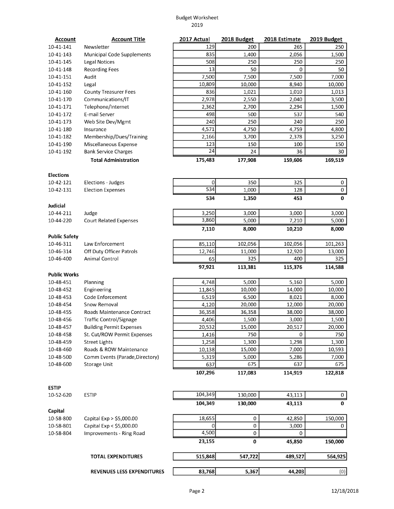#### Budget Worksheet 2019

| <b>Account</b>                                 | <b>Account Title</b>                           | 2017 Actual  | 2018 Budget   | 2018 Estimate | 2019 Budget   |
|------------------------------------------------|------------------------------------------------|--------------|---------------|---------------|---------------|
| 10-41-141                                      | Newsletter                                     | 129          | 200           | 265           | 250           |
| 10-41-143                                      | Municipal Code Supplements                     | 835          | 1,400         | 2,056         | 1,500         |
| 10-41-145                                      | <b>Legal Notices</b>                           | 508          | 250           | 250           | 250           |
| 10-41-148                                      | <b>Recording Fees</b>                          | 13           | 50            | 0             | 50            |
| 10-41-151                                      | Audit                                          | 7,500        | 7,500         | 7,500         | 7,000         |
| 10-41-152                                      | Legal                                          | 10,809       | 10,000        | 8,940         | 10,000        |
| 10-41-160                                      | <b>County Treasurer Fees</b>                   | 836          | 1,021         | 1,010         | 1,013         |
| 10-41-170                                      | Communications/IT                              | 2,978        | 2,550         | 2,040         | 3,500         |
| 10-41-171                                      | Telephone/Internet                             | 2,362        | 2,700         | 2,294         | 1,500         |
| 10-41-172                                      | E-mail Server                                  | 498          | 500           | 537           | 540           |
| 10-41-173                                      | Web Site Dev/Mgmt                              | 240          | 250           | 240           | 250           |
| 10-41-180                                      | Insurance                                      | 4,571        | 4,750         | 4,759         | 4,800         |
| 10-41-182                                      | Membership/Dues/Training                       | 2,166        | 3,700         | 2,378         | 3,250         |
| 10-41-190                                      | Miscellaneous Expense                          | 123          | 150           | 100           | 150           |
| 10-41-192                                      | <b>Bank Service Charges</b>                    | 24           | 24            | 36            | 30            |
|                                                | <b>Total Administration</b>                    | 175,483      | 177,908       | 159,606       | 169,519       |
|                                                |                                                |              |               |               |               |
| <b>Elections</b><br>10-42-121                  |                                                | $\Omega$     | 350           | 325           |               |
|                                                | Elections - Judges<br><b>Election Expenses</b> | 534          |               | 128           | 0<br>$\,0\,$  |
| 10-42-131                                      |                                                |              | 1,000         |               |               |
| <b>Judicial</b>                                |                                                | 534          | 1,350         | 453           | $\bf{0}$      |
| 10-44-211                                      | Judge                                          | 3,250        | 3,000         | 3,000         | 3,000         |
| 10-44-220                                      | <b>Court Related Expenses</b>                  | 3,860        | 5,000         | 7,210         | 5,000         |
|                                                |                                                | 7,110        | 8,000         | 10,210        | 8,000         |
| <b>Public Safety</b><br>10-46-311              | Law Enforcement                                | 85,110       | 102,056       | 102,056       | 101,263       |
| 10-46-314                                      | Off Duty Officer Patrols                       |              |               | 12,920        |               |
| 10-46-400                                      | Animal Control                                 | 12,746<br>65 | 11,000<br>325 | 400           | 13,000<br>325 |
|                                                |                                                | 97,921       | 113,381       | 115,376       | 114,588       |
| <b>Public Works</b>                            |                                                |              |               |               |               |
| 10-48-451                                      | Planning                                       | 4,748        | 5,000         | 5,160         | 5,000         |
| 10-48-452                                      | Engineering                                    | 11,845       | 10,000        | 14,000        | 10,000        |
| 10-48-453                                      | Code Enforcement                               | 6,519        | 6,500         | 8,021         | 8,000         |
| 10-48-454                                      | Snow Removal                                   | 4,120        | 20,000        | 12,000        | 20,000        |
| 10-48-455                                      | Roads Maintenance Contract                     | 36,358       | 36,358        | 38,000        | 38,000        |
| 10-48-456                                      | Traffic Control/Signage                        | 4,406        | 1,500         | 3,000         | 1,500         |
| 10-48-457                                      | <b>Building Permit Expenses</b>                | 20,532       | 15,000        | 20,517        | 20,000        |
| 10-48-458                                      | St. Cut/ROW Permit Expenses                    | 1,416        | 750           | 0             | 750           |
| 10-48-459                                      | <b>Street Lights</b>                           | 1,258        | 1,300         | 1,298         | 1,300         |
| 10-48-460                                      | Roads & ROW Maintenance                        | 10,138       | 15,000        | 7,000         | 10,593        |
| 10-48-500                                      | Comm Events (Parade, Directory)                | 5,319        | 5,000         | 5,286         | 7,000         |
| 10-48-600                                      | Storage Unit                                   | 637          | 675           | 637           | 675           |
|                                                |                                                | 107,296      | 117,083       | 114,919       | 122,818       |
|                                                |                                                |              |               |               |               |
| <b>ESTIP</b><br>10-52-620                      | <b>ESTIP</b>                                   | 104,349      | 130,000       | 43,113        | 0             |
|                                                |                                                | 104,349      | 130,000       | 43,113        | 0             |
|                                                |                                                |              |               |               |               |
|                                                |                                                | 18,655       | 0             | 42,850        | 150,000       |
|                                                | Capital Exp > \$5,000.00                       |              |               |               |               |
|                                                | Capital Exp < \$5,000.00                       | $\Omega$     | $\pmb{0}$     | 3,000         | 0             |
|                                                | Improvements - Ring Road                       | 4,500        | $\mathbf 0$   | $\Omega$      |               |
|                                                |                                                | 23,155       | 0             | 45,850        | 150,000       |
| Capital<br>10-58-800<br>10-58-801<br>10-58-804 | <b>TOTAL EXPENDITURES</b>                      | 515,848      | 547,722       | 489,527       | 564,925       |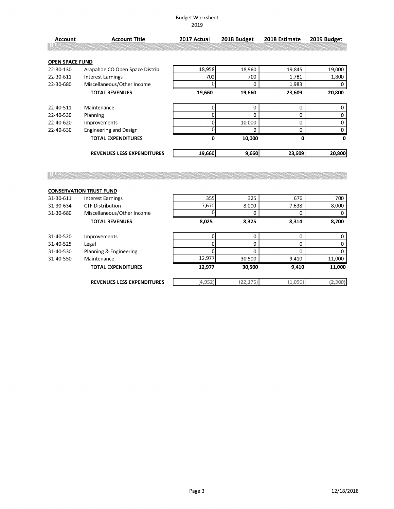#### Budget Worksheet 2019

| Account                | Account Title                     | 2017 Actual | 2018 Budget | 2018 Estimate | 2019 Budget |
|------------------------|-----------------------------------|-------------|-------------|---------------|-------------|
|                        |                                   |             |             |               |             |
| <b>OPEN SPACE FUND</b> |                                   |             |             |               |             |
| 22-30-130              | Arapahoe CO Open Space Distrib    | 18,958      | 18,960      | 19,845        | 19,000      |
| 22-30-611              | <b>Interest Earnings</b>          | 702         | 700         | 1,781         | 1,800       |
| 22-30-680              | Miscellaneous/Other Income        |             | 0           | 1,983         | 0           |
|                        | <b>TOTAL REVENUES</b>             | 19,660      | 19,660      | 23,609        | 20,800      |
|                        |                                   |             |             |               |             |
| 22-40-511              | Maintenance                       |             | 0           | 0             | 0           |
| 22-40-530              | Planning                          |             | 0           | 0             | 0           |
| 22-40-620              | Improvements                      |             | 10,000      | 0             | 0           |
| 22-40-630              | <b>Engineering and Design</b>     | n           | $\Omega$    | O             |             |
|                        | <b>TOTAL EXPENDITURES</b>         | 0           | 10,000      | 0             | 0           |
|                        | <b>REVENUES LESS EXPENDITURES</b> | 19,660      | 9,660       | 23,609        | 20,800      |

|           | <b>CONSERVATION TRUST FUND</b>    |          |           |         |                |
|-----------|-----------------------------------|----------|-----------|---------|----------------|
| 31-30-611 | <b>Interest Earnings</b>          | 355      | 325       | 676     | 700            |
| 31-30-634 | <b>CTF Distribution</b>           | 7,670    | 8,000     | 7,638   | 8,000          |
| 31-30-680 | Miscellaneous/Other Income        |          |           | 0       | $\Omega$       |
|           | <b>TOTAL REVENUES</b>             | 8,025    | 8,325     | 8,314   | 8,700          |
| 31-40-520 | Improvements                      |          | 0         | 0       | $\overline{0}$ |
| 31-40-525 | Legal                             |          | O         | 0       | $\Omega$       |
| 31-40-530 | Planning & Engineering            |          |           | 0       | $\overline{0}$ |
| 31-40-550 | Maintenance                       | 12,977   | 30,500    | 9,410   | 11,000         |
|           | <b>TOTAL EXPENDITURES</b>         | 12,977   | 30,500    | 9,410   | 11,000         |
|           | <b>REVENUES LESS EXPENDITURES</b> | (4, 952) | (22, 175) | (1,096) | (2,300)        |